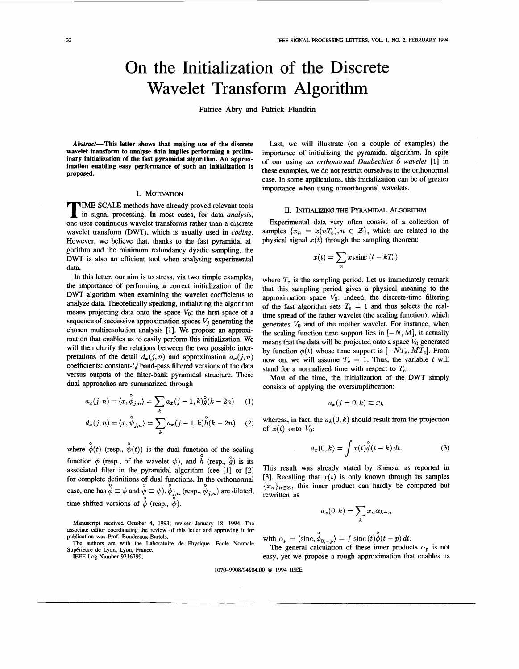# On the Initialization of the Discrete Wavelet Transform Algorithm

Patrice Abry and Patrick Flandrin

*Abstruct-* **This letter shows that making use of the discrete wavelet transform to analyse data implies performing a preliminary initialization of the fast pyramidal algorithm. An approximation enabling easy performance of such an initialization is proposed.** 

### I. MOTIVATION

**TIME-SCALE methods have already proved relevant tools in signal processing. In most cases, for data** *analysis***,** one uses continuous wavelet transforms rather than a discrete wavelet transform (DWT), which is usually used in *coding*. However, we believe that, thanks to the fast pyramidal algorithm and the minimum redundancy dyadic sampling, the DWT is also an efficient tool when analysing experimental data.

In this letter, our aim is to stress, via two simple examples, the importance of performing a correct initialization of the DWT algorithm when examining the wavelet coefficients to analyze data. Theoretically speaking, initializing the algorithm means projecting data onto the space  $V_0$ : the first space of a sequence of successive approximation spaces  $V_i$  generating the chosen multiresolution analysis [ **11.** We propose an approximation that enables us to easily perform this initialization. We will then clarify the relations between the two possible interpretations of the detail  $d_x(j, n)$  and approximation  $a_x(j, n)$ coefficients: constant-Q band-pass filtered versions of the data versus outputs of the filter-bank pyramidal structure. These dual approaches are summarized through

$$
a_x(j,n) = \langle x, \stackrel{\circ}{\phi}_{j,n} \rangle = \sum_k a_x(j-1,k) \stackrel{\circ}{g}(k-2n) \qquad (1)
$$

$$
d_x(j,n) = \langle x, \stackrel{\circ}{\psi}_{j,n} \rangle = \sum_k a_x(j-1,k) \stackrel{\circ}{h}(k-2n) \quad (2)
$$

where  $\phi(t)$  (resp.,  $\phi(t)$ ) is the dual function of the scaling function  $\phi$  (resp., of the wavelet  $\psi$ ), and  $\hat{h}$  (resp.,  $\hat{g}$ ) is its associated filter in the pyramidal algorithm (see **[l]** or [2] for complete definitions of dual functions. In the orthonormal case, one has  $\phi \equiv \phi$  and  $\psi \equiv \psi$ ).  $\phi_{j,n}$  (resp.,  $\psi_{j,n}$ ) are dilated, time-shifted versions of  $\phi$  (resp.,  $\psi$ ). *0 0 0 0 0 0* 

Manuscript received October 4, 1993; revised January **18,** 1994. The associate editor coordinating the review of this letter and approving it for publication was Prof. Boudreaux-Bartels.

The authors are with the Laboratoire de Physique. Ecole Normale Supérieure de Lyon, Lyon, France.

IEEE **Log** Number 9216799.

Last, we will illustrate (on a couple of examples) the importance of initializing the pyramidal algorithm. In spite of our using *an orthonormal Daubechies 6 wavelet* [l] in these examples, we do not restrict ourselves to the orthonormal case. In some applications, this initialization can be of greater importance when using nonorthogonal wavelets.

#### 11. INITIALIZING THE PYRAMIDAL ALGORITHM

Experimental data very often consist of a collection of samples  $\{x_n = x(nT_e), n \in \mathcal{Z}\}\$ , which are related to the physical signal  $x(t)$  through the sampling theorem:

$$
x(t) = \sum_{x} x_k \text{sinc} (t - kT_e)
$$

where  $T_e$  is the sampling period. Let us immediately remark that this sampling period gives a physical meaning to the approximation space  $V_0$ . Indeed, the discrete-time filtering of the fast algorithm sets  $T_e = 1$  and thus selects the realtime spread of the father wavelet (the scaling function), which generates  $V_0$  and of the mother wavelet. For instance, when the scaling function time support lies in  $[-N, M]$ , it actually means that the data will be projected onto a space  $V_0$  generated by function  $\phi(t)$  whose time support is  $[-NT_e, MT_e]$ . From now on, we will assume  $T_e = 1$ . Thus, the variable t will stand for a normalized time with respect to  $T_e$ .

Most of the time, the initialization of the DWT simply consists of applying the oversimplification:

$$
a_x(j=0,k)\equiv x_k
$$

whereas, in fact, the  $a_k(0, k)$  should result from the projection of  $x(t)$  onto  $V_0$ :

$$
a_x(0,k) = \int x(t)\overset{\circ}{\phi}(t-k) dt.
$$
 (3)

This result was already stated by Shensa, as reported in [3]. Recalling that  $x(t)$  is only known through its samples  ${x_n}_{n \in \mathbb{Z}}$ , this inner product can hardly be computed but rewritten as

$$
a_x(0,k) = \sum_k x_n \alpha_{k-n}
$$

with  $\alpha_p = \langle \sin \theta, \stackrel{\circ}{\phi}_{0,-p} \rangle = f \sin \theta(t) \stackrel{\circ}{\phi}$  $=$   $\int$  sinc  $(t)\overset{\circ}{\phi}(t - p) dt$ .

The general calculation of these inner products  $\alpha_p$  is not easy, yet we propose a rough approximation that enables us

1070-9908/94\$04.00 *0* 1994 **IEEE**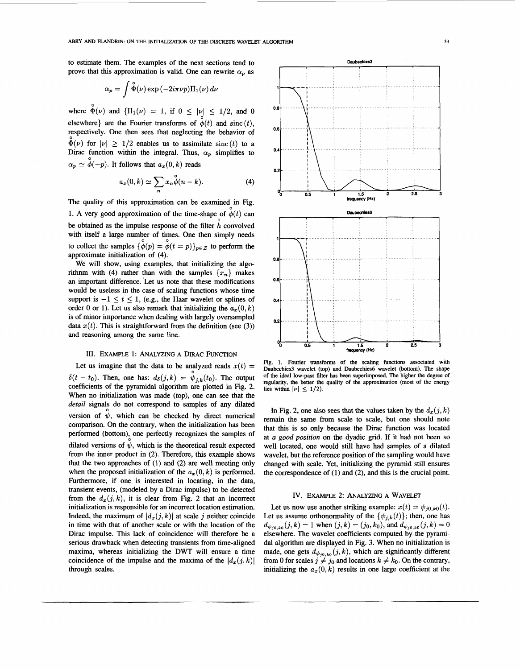to estimate them. The examples of the next sections tend to prove that this approximation is valid. One can rewrite  $\alpha_n$  as

$$
\alpha_p = \int \overset{\circ}{\Phi}(\nu) \exp(-2i\pi\nu p) \Pi_1(\nu) d\nu
$$

where  $\Phi(\nu)$  and  ${\{\Pi_1(\nu) = 1, \text{ if } 0 \leq |\nu| \leq 1/2, \text{ and } 0\}}$ elsewhere} are the Fourier transforms of  $\phi(t)$  and sinc  $(t)$ , respectively. One then sees that neglecting the behavior of  $\Phi(\nu)$  for  $|\nu| \ge 1/2$  enables us to assimilate sinc(t) to a Dirac function within the integral. Thus,  $\alpha_p$  simplifies to  $\alpha_p \simeq \phi(-p)$ . It follows that  $a_x(0, k)$  reads *0 0* 

$$
a_x(0,k) \simeq \sum_n x_n \overset{\circ}{\phi}(n-k). \tag{4}
$$

The quality of this approximation can be examined in Fig. 1. A very good approximation of the time-shape of  $\phi(t)$  can be obtained as the impulse response of the filter  $\hat{h}$  convolved with itself a large number of times. One then simply needs to collect the samples  $\{\phi(p) = \phi(t = p)\}_{p \in \mathcal{Z}}$  to perform the approximate initialization of **(4).** 

We will show, using examples, that initializing the algorithnm with (4) rather than with the samples  $\{x_n\}$  makes an important difference. 'Let us note that these modifications would be useless in the case of scaling functions whose time support is  $-1 \le t \le 1$ , (e.g., the Haar wavelet or splines of order 0 or 1). Let us also remark that initializing the  $a_r(0, k)$ is of minor importance when dealing with largely oversampled data  $x(t)$ . This is straightforward from the definition (see (3)) and reasoning among the same line.

### III. EXAMPLE 1: ANALYZING A DIRAC FUNCTION

Let us imagine that the data to be analyzed reads  $x(t)$  = Set us imagine that the data to be dimensioned to  $\delta(t - t_0)$ . Then, one has:  $d_{\delta}(j, k) = \psi_{j,k}(t_0)$ . The output coefficients of the pyramidal algorithm are plotted in Fig. 2. When no initialization was made (top), one can see that the *derail* signals do not correspond to samples of any dilated version of  $\hat{\psi}$ , which can be checked by direct numerical comparison. On the contrary, when the initialization has been performed (bottom), one perfectly recognizes the samples of dilated versions of  $\psi$ , which is the theoretical result expected from the inner product in (2). Therefore, this example shows that the two approaches of (1) and (2) are well meeting only when the proposed initialization of the  $a_x(0, k)$  is performed. Furthermore, if one is interested in locating, in the data, transient events, (modeled by a Dirac impulse) to be detected from the  $d_x(j, k)$ , it is clear from Fig. 2 that an incorrect initialization is responsible for an incorrect location estimation. Indeed, the maximum of  $|d_x(j, k)|$  at scale *j* neither coincide in time with that of another scale or with the location of the Dirac impulse. This lack of coincidence will therefore be a serious drawback when detecting transients from time-aligned maxima, whereas initializing the DWT will ensure a time coincidence of the impulse and the maxima of the  $|d_x(j, k)|$ through scales. *0* 



**Fig. 1. Fourier transforms of the scaling functions associated with Daubechies3 wavelet (top) and Daubechies6 wavelet (bottom). The shape of the ideal low-pass filter has been superimposed. The higher the degree of regularity, the** better **the quality of the approximation (most of the energy**  lies within  $|\nu| \leq 1/2$ .

In Fig. 2, one also sees that the values taken by the  $d_x(j, k)$ remain the same from scale to scale, but one should note that this is so only because the Dirac function was located at *Q good position* on the dyadic grid. If it had not been so well located, one would still have had samples of a dilated wavelet, but the reference position of the sampling would have changed with scale. Yet, initializing the pyramid still ensures the correspondence of (1) and **(2),** and this is the crucial point.

## Iv. **EXAMPLE 2: ANALYZING A WAVELET**

Let us now use another striking example:  $x(t) = \psi_{j0,k0}(t)$ . Let us assume orthonormality of the  $\{\psi_{j,k}(t)\}\;$ ; then, one has elsewhere. The wavelet coefficients computed by the pyramidal algorithm are displayed in Fig. 3. When no initialization is made, one gets  $d_{\psi_{j0,k0}}(j,k)$ , which are significantly different from 0 for scales  $j \neq j_0$  and locations  $k \neq k_0$ . On the contrary, initializing the  $a_x(0, k)$  results in one large coefficient at the  $d_{\psi_{j0,k0}}(j,k) = 1$  when  $(j,k) = (j_0, k_0)$ , and  $d_{\psi_{j0,k0}}(j,k) = 0$